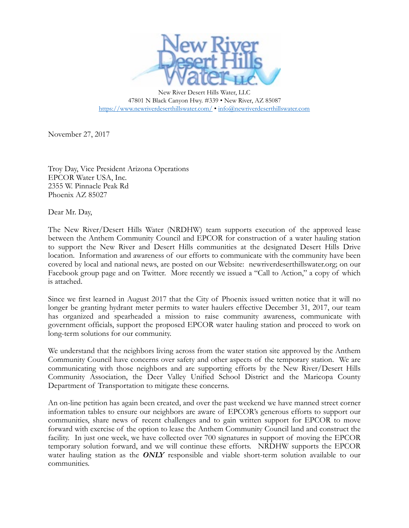

New River Desert Hills Water, LLC 47801 N Black Canyon Hwy. #339 • New River, AZ 85087 <https://www.newriverdeserthillswater.com/> • [info@newriverdeserthillswater.com](mailto:info@newriverdeserthillswater.com)

November 27, 2017

Troy Day, Vice President Arizona Operations EPCOR Water USA, Inc. 2355 W. Pinnacle Peak Rd Phoenix AZ 85027

Dear Mr. Day,

The New River/Desert Hills Water (NRDHW) team supports execution of the approved lease between the Anthem Community Council and EPCOR for construction of a water hauling station to support the New River and Desert Hills communities at the designated Desert Hills Drive location. Information and awareness of our efforts to communicate with the community have been covered by local and national news, are posted on our Website: newriverdeserthillswater.org; on our Facebook group page and on Twitter. More recently we issued a "Call to Action," a copy of which is attached.

Since we first learned in August 2017 that the City of Phoenix issued written notice that it will no longer be granting hydrant meter permits to water haulers effective December 31, 2017, our team has organized and spearheaded a mission to raise community awareness, communicate with government officials, support the proposed EPCOR water hauling station and proceed to work on long-term solutions for our community.

We understand that the neighbors living across from the water station site approved by the Anthem Community Council have concerns over safety and other aspects of the temporary station. We are communicating with those neighbors and are supporting efforts by the New River/Desert Hills Community Association, the Deer Valley Unified School District and the Maricopa County Department of Transportation to mitigate these concerns.

An on-line petition has again been created, and over the past weekend we have manned street corner information tables to ensure our neighbors are aware of EPCOR's generous efforts to support our communities, share news of recent challenges and to gain written support for EPCOR to move forward with exercise of the option to lease the Anthem Community Council land and construct the facility. In just one week, we have collected over 700 signatures in support of moving the EPCOR temporary solution forward, and we will continue these efforts. NRDHW supports the EPCOR water hauling station as the *ONLY* responsible and viable short-term solution available to our communities.